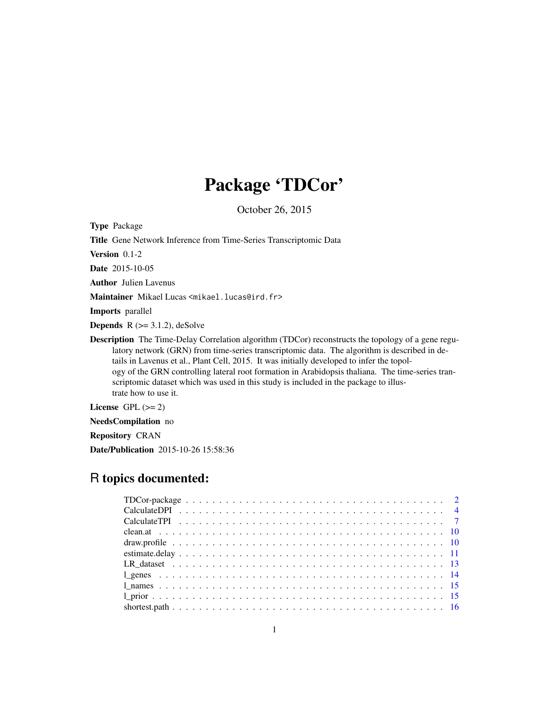# Package 'TDCor'

October 26, 2015

Type Package

Title Gene Network Inference from Time-Series Transcriptomic Data

Version 0.1-2

Date 2015-10-05

Author Julien Lavenus

Maintainer Mikael Lucas <mikael.lucas@ird.fr>

Imports parallel

**Depends**  $R$  ( $>= 3.1.2$ ), deSolve

Description The Time-Delay Correlation algorithm (TDCor) reconstructs the topology of a gene regulatory network (GRN) from time-series transcriptomic data. The algorithm is described in details in Lavenus et al., Plant Cell, 2015. It was initially developed to infer the topology of the GRN controlling lateral root formation in Arabidopsis thaliana. The time-series transcriptomic dataset which was used in this study is included in the package to illustrate how to use it.

License GPL  $(>= 2)$ 

NeedsCompilation no

Repository CRAN

Date/Publication 2015-10-26 15:58:36

# R topics documented: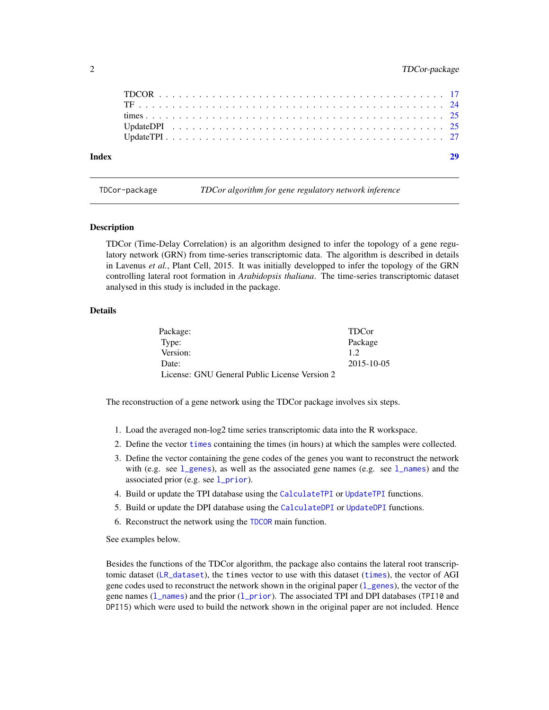<span id="page-1-0"></span>

| Index |  |  |  |  |  |  |  |  |  |  |  |  |  |  |  |  |  |  |  |  |
|-------|--|--|--|--|--|--|--|--|--|--|--|--|--|--|--|--|--|--|--|--|
|       |  |  |  |  |  |  |  |  |  |  |  |  |  |  |  |  |  |  |  |  |
|       |  |  |  |  |  |  |  |  |  |  |  |  |  |  |  |  |  |  |  |  |
|       |  |  |  |  |  |  |  |  |  |  |  |  |  |  |  |  |  |  |  |  |
|       |  |  |  |  |  |  |  |  |  |  |  |  |  |  |  |  |  |  |  |  |
|       |  |  |  |  |  |  |  |  |  |  |  |  |  |  |  |  |  |  |  |  |

<span id="page-1-1"></span>

TDCor-package *TDCor algorithm for gene regulatory network inference*

#### Description

TDCor (Time-Delay Correlation) is an algorithm designed to infer the topology of a gene regulatory network (GRN) from time-series transcriptomic data. The algorithm is described in details in Lavenus *et al.*, Plant Cell, 2015. It was initially developped to infer the topology of the GRN controlling lateral root formation in *Arabidopsis thaliana*. The time-series transcriptomic dataset analysed in this study is included in the package.

# Details

| Package:                                      | <b>TDC</b> <sub>or</sub> |
|-----------------------------------------------|--------------------------|
| Type:                                         | Package                  |
| Version:                                      | 12                       |
| Date:                                         | 2015-10-05               |
| License: GNU General Public License Version 2 |                          |

The reconstruction of a gene network using the TDCor package involves six steps.

- 1. Load the averaged non-log2 time series transcriptomic data into the R workspace.
- 2. Define the vector [times](#page-24-1) containing the times (in hours) at which the samples were collected.
- 3. Define the vector containing the gene codes of the genes you want to reconstruct the network with (e.g. see  $1$  genes), as well as the associated gene names (e.g. see  $1$  names) and the associated prior (e.g. see  $1$ \_prior).
- 4. Build or update the TPI database using the [CalculateTPI](#page-6-1) or [UpdateTPI](#page-26-1) functions.
- 5. Build or update the DPI database using the [CalculateDPI](#page-3-1) or [UpdateDPI](#page-24-2) functions.
- 6. Reconstruct the network using the [TDCOR](#page-16-1) main function.

See examples below.

Besides the functions of the TDCor algorithm, the package also contains the lateral root transcriptomic dataset ([LR\\_dataset](#page-12-1)), the times vector to use with this dataset ([times](#page-24-1)), the vector of AGI gene codes used to reconstruct the network shown in the original paper  $(1$  genes), the vector of the gene names  $(1_{n})$  and the prior  $(1_{p}$ rior). The associated TPI and DPI databases (TPI10 and DPI15) which were used to build the network shown in the original paper are not included. Hence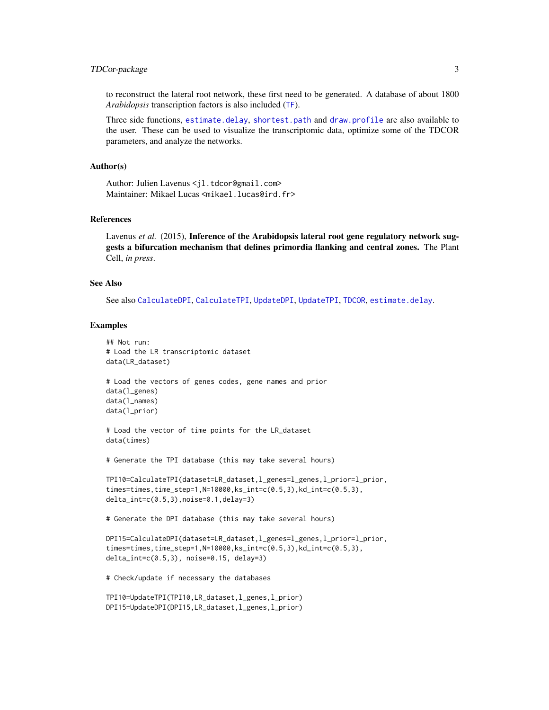# <span id="page-2-0"></span>TDCor-package 3

to reconstruct the lateral root network, these first need to be generated. A database of about 1800 *Arabidopsis* transcription factors is also included ([TF](#page-23-1)).

Three side functions, [estimate.delay](#page-10-1), [shortest.path](#page-15-1) and [draw.profile](#page-9-1) are also available to the user. These can be used to visualize the transcriptomic data, optimize some of the TDCOR parameters, and analyze the networks.

#### Author(s)

Author: Julien Lavenus <jl.tdcor@gmail.com> Maintainer: Mikael Lucas <mikael.lucas@ird.fr>

#### References

Lavenus *et al.* (2015), Inference of the Arabidopsis lateral root gene regulatory network suggests a bifurcation mechanism that defines primordia flanking and central zones. The Plant Cell, *in press*.

#### See Also

See also [CalculateDPI](#page-3-1), [CalculateTPI](#page-6-1), [UpdateDPI](#page-24-2), [UpdateTPI](#page-26-1), [TDCOR](#page-16-1), [estimate.delay](#page-10-1).

#### Examples

```
## Not run:
# Load the LR transcriptomic dataset
data(LR_dataset)
# Load the vectors of genes codes, gene names and prior
data(l_genes)
data(l_names)
data(l_prior)
# Load the vector of time points for the LR_dataset
data(times)
# Generate the TPI database (this may take several hours)
TPI10=CalculateTPI(dataset=LR_dataset,l_genes=l_genes,l_prior=l_prior,
times=times,time_step=1,N=10000,ks_int=c(0.5,3),kd_int=c(0.5,3),
delta_int=c(0.5,3),noise=0.1,delay=3)
# Generate the DPI database (this may take several hours)
DPI15=CalculateDPI(dataset=LR_dataset,l_genes=l_genes,l_prior=l_prior,
times=times,time_step=1,N=10000,ks_int=c(0.5,3),kd_int=c(0.5,3),
delta_int=c(0.5,3), noise=0.15, delay=3)
# Check/update if necessary the databases
TPI10=UpdateTPI(TPI10,LR_dataset,l_genes,l_prior)
DPI15=UpdateDPI(DPI15,LR_dataset,l_genes,l_prior)
```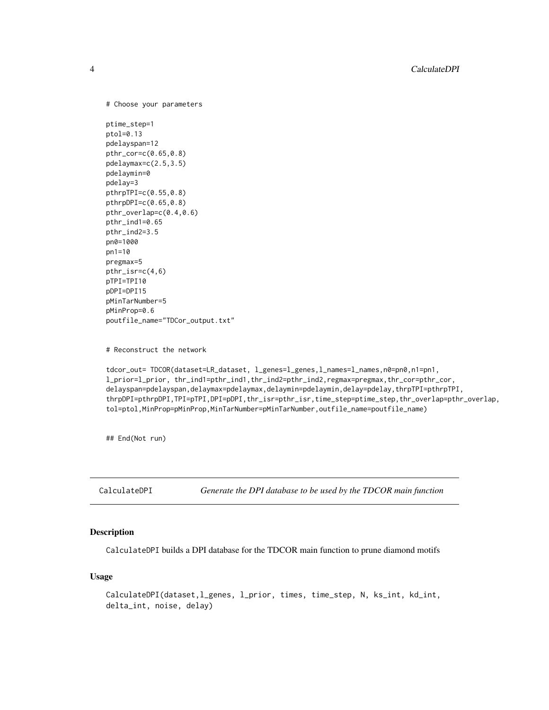```
# Choose your parameters
```

```
ptime_step=1
ptol=0.13
pdelayspan=12
pthr_cor=c(0.65,0.8)
pdelaymax=c(2.5,3.5)
pdelaymin=0
pdelay=3
pthrpTPI=c(0.55,0.8)
pthrpDPI=c(0.65,0.8)
pthr_overlap=c(0.4,0.6)
pthr_ind1=0.65
pthr_ind2=3.5
pn0=1000
pn1=10
pregmax=5
pthr_isr=c(4,6)
pTPI=TPI10
pDPI=DPI15
pMinTarNumber=5
pMinProp=0.6
poutfile_name="TDCor_output.txt"
```
# Reconstruct the network

```
tdcor_out= TDCOR(dataset=LR_dataset, l_genes=l_genes,l_names=l_names,n0=pn0,n1=pn1,
l_prior=l_prior, thr_ind1=pthr_ind1,thr_ind2=pthr_ind2,regmax=pregmax,thr_cor=pthr_cor,
delayspan=pdelayspan,delaymax=pdelaymax,delaymin=pdelaymin,delay=pdelay,thrpTPI=pthrpTPI,
thrpDPI=pthrpDPI,TPI=pTPI,DPI=pDPI,thr_isr=pthr_isr,time_step=ptime_step,thr_overlap=pthr_overlap,
tol=ptol,MinProp=pMinProp,MinTarNumber=pMinTarNumber,outfile_name=poutfile_name)
```
## End(Not run)

<span id="page-3-1"></span>CalculateDPI *Generate the DPI database to be used by the TDCOR main function*

### Description

CalculateDPI builds a DPI database for the TDCOR main function to prune diamond motifs

#### Usage

```
CalculateDPI(dataset,l_genes, l_prior, times, time_step, N, ks_int, kd_int,
delta_int, noise, delay)
```
<span id="page-3-0"></span>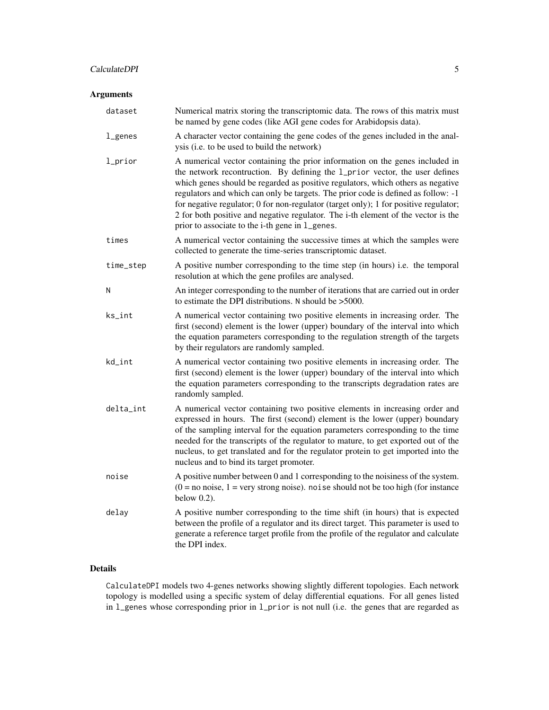# CalculateDPI 5

# Arguments

| dataset                 | Numerical matrix storing the transcriptomic data. The rows of this matrix must<br>be named by gene codes (like AGI gene codes for Arabidopsis data).                                                                                                                                                                                                                                                                                                                                                                                                                |
|-------------------------|---------------------------------------------------------------------------------------------------------------------------------------------------------------------------------------------------------------------------------------------------------------------------------------------------------------------------------------------------------------------------------------------------------------------------------------------------------------------------------------------------------------------------------------------------------------------|
| $L$ genes               | A character vector containing the gene codes of the genes included in the anal-<br>ysis (i.e. to be used to build the network)                                                                                                                                                                                                                                                                                                                                                                                                                                      |
| 1_prior                 | A numerical vector containing the prior information on the genes included in<br>the network recontruction. By defining the 1_prior vector, the user defines<br>which genes should be regarded as positive regulators, which others as negative<br>regulators and which can only be targets. The prior code is defined as follow: -1<br>for negative regulator; 0 for non-regulator (target only); 1 for positive regulator;<br>2 for both positive and negative regulator. The i-th element of the vector is the<br>prior to associate to the i-th gene in 1_genes. |
| times                   | A numerical vector containing the successive times at which the samples were<br>collected to generate the time-series transcriptomic dataset.                                                                                                                                                                                                                                                                                                                                                                                                                       |
| time_step               | A positive number corresponding to the time step (in hours) i.e. the temporal<br>resolution at which the gene profiles are analysed.                                                                                                                                                                                                                                                                                                                                                                                                                                |
| N                       | An integer corresponding to the number of iterations that are carried out in order<br>to estimate the DPI distributions. N should be $>5000$ .                                                                                                                                                                                                                                                                                                                                                                                                                      |
| ks_int                  | A numerical vector containing two positive elements in increasing order. The<br>first (second) element is the lower (upper) boundary of the interval into which<br>the equation parameters corresponding to the regulation strength of the targets<br>by their regulators are randomly sampled.                                                                                                                                                                                                                                                                     |
| kd_int                  | A numerical vector containing two positive elements in increasing order. The<br>first (second) element is the lower (upper) boundary of the interval into which<br>the equation parameters corresponding to the transcripts degradation rates are<br>randomly sampled.                                                                                                                                                                                                                                                                                              |
| $delta$ <sub>_int</sub> | A numerical vector containing two positive elements in increasing order and<br>expressed in hours. The first (second) element is the lower (upper) boundary<br>of the sampling interval for the equation parameters corresponding to the time<br>needed for the transcripts of the regulator to mature, to get exported out of the<br>nucleus, to get translated and for the regulator protein to get imported into the<br>nucleus and to bind its target promoter.                                                                                                 |
| noise                   | A positive number between 0 and 1 corresponding to the noisiness of the system.<br>$(0 = no noise, 1 = very strong noise)$ . noise should not be too high (for instance<br>below $0.2$ ).                                                                                                                                                                                                                                                                                                                                                                           |
| delay                   | A positive number corresponding to the time shift (in hours) that is expected<br>between the profile of a regulator and its direct target. This parameter is used to<br>generate a reference target profile from the profile of the regulator and calculate<br>the DPI index.                                                                                                                                                                                                                                                                                       |

# Details

CalculateDPI models two 4-genes networks showing slightly different topologies. Each network topology is modelled using a specific system of delay differential equations. For all genes listed in l\_genes whose corresponding prior in l\_prior is not null (i.e. the genes that are regarded as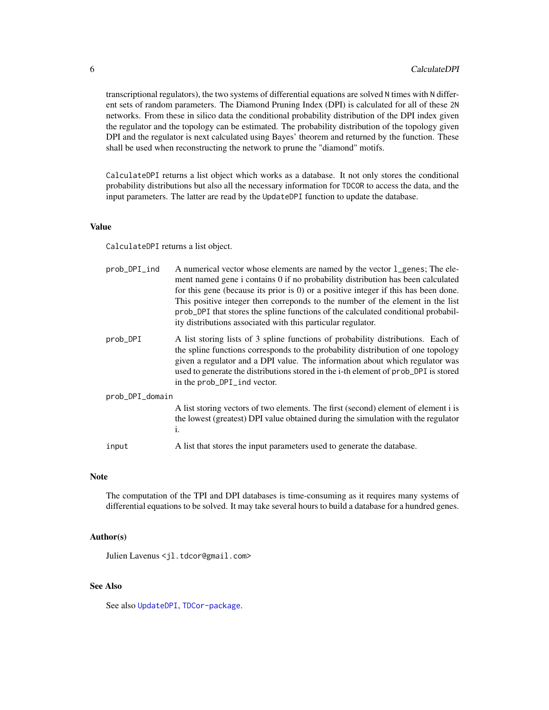<span id="page-5-0"></span>transcriptional regulators), the two systems of differential equations are solved N times with N different sets of random parameters. The Diamond Pruning Index (DPI) is calculated for all of these 2N networks. From these in silico data the conditional probability distribution of the DPI index given the regulator and the topology can be estimated. The probability distribution of the topology given DPI and the regulator is next calculated using Bayes' theorem and returned by the function. These shall be used when reconstructing the network to prune the "diamond" motifs.

CalculateDPI returns a list object which works as a database. It not only stores the conditional probability distributions but also all the necessary information for TDCOR to access the data, and the input parameters. The latter are read by the UpdateDPI function to update the database.

#### Value

CalculateDPI returns a list object.

| prob_DPI_ind    | A numerical vector whose elements are named by the vector 1_genes; The ele-<br>ment named gene i contains 0 if no probability distribution has been calculated<br>for this gene (because its prior is $0$ ) or a positive integer if this has been done.<br>This positive integer then correponds to the number of the element in the list<br>prob_DPI that stores the spline functions of the calculated conditional probabil-<br>ity distributions associated with this particular regulator. |
|-----------------|-------------------------------------------------------------------------------------------------------------------------------------------------------------------------------------------------------------------------------------------------------------------------------------------------------------------------------------------------------------------------------------------------------------------------------------------------------------------------------------------------|
| prob_DPI        | A list storing lists of 3 spline functions of probability distributions. Each of<br>the spline functions corresponds to the probability distribution of one topology<br>given a regulator and a DPI value. The information about which regulator was<br>used to generate the distributions stored in the i-th element of prob_DPI is stored<br>in the prob_DPI_ind vector.                                                                                                                      |
| prob_DPI_domain |                                                                                                                                                                                                                                                                                                                                                                                                                                                                                                 |
|                 | A list storing vectors of two elements. The first (second) element of element i is<br>the lowest (greatest) DPI value obtained during the simulation with the regulator<br>i.                                                                                                                                                                                                                                                                                                                   |
| input           | A list that stores the input parameters used to generate the database.                                                                                                                                                                                                                                                                                                                                                                                                                          |

#### Note

The computation of the TPI and DPI databases is time-consuming as it requires many systems of differential equations to be solved. It may take several hours to build a database for a hundred genes.

#### Author(s)

Julien Lavenus <jl.tdcor@gmail.com>

# See Also

See also [UpdateDPI](#page-24-2), [TDCor-package](#page-1-1).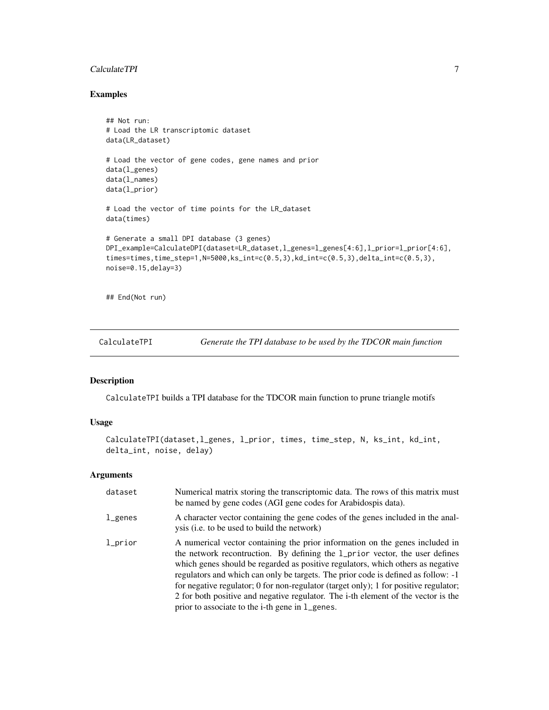#### <span id="page-6-0"></span>CalculateTPI 7

# Examples

```
## Not run:
# Load the LR transcriptomic dataset
data(LR_dataset)
# Load the vector of gene codes, gene names and prior
data(l_genes)
data(l_names)
data(l_prior)
# Load the vector of time points for the LR_dataset
data(times)
# Generate a small DPI database (3 genes)
DPI_example=CalculateDPI(dataset=LR_dataset,l_genes=l_genes[4:6],l_prior=l_prior[4:6],
times=times,time_step=1,N=5000,ks_int=c(0.5,3),kd_int=c(0.5,3),delta_int=c(0.5,3),
noise=0.15,delay=3)
## End(Not run)
```
<span id="page-6-1"></span>CalculateTPI *Generate the TPI database to be used by the TDCOR main function*

#### Description

CalculateTPI builds a TPI database for the TDCOR main function to prune triangle motifs

# Usage

```
CalculateTPI(dataset,l_genes, l_prior, times, time_step, N, ks_int, kd_int,
delta_int, noise, delay)
```
#### Arguments

| dataset | Numerical matrix storing the transcriptomic data. The rows of this matrix must<br>be named by gene codes (AGI gene codes for Arabidospis data).                                                                                                                                                                                                                                                                                                                                                                                                                     |
|---------|---------------------------------------------------------------------------------------------------------------------------------------------------------------------------------------------------------------------------------------------------------------------------------------------------------------------------------------------------------------------------------------------------------------------------------------------------------------------------------------------------------------------------------------------------------------------|
| l_genes | A character vector containing the gene codes of the genes included in the anal-<br>ysis (i.e. to be used to build the network)                                                                                                                                                                                                                                                                                                                                                                                                                                      |
| 1_prior | A numerical vector containing the prior information on the genes included in<br>the network recontruction. By defining the 1_prior vector, the user defines<br>which genes should be regarded as positive regulators, which others as negative<br>regulators and which can only be targets. The prior code is defined as follow: -1<br>for negative regulator; 0 for non-regulator (target only); 1 for positive regulator;<br>2 for both positive and negative regulator. The i-th element of the vector is the<br>prior to associate to the i-th gene in 1_genes. |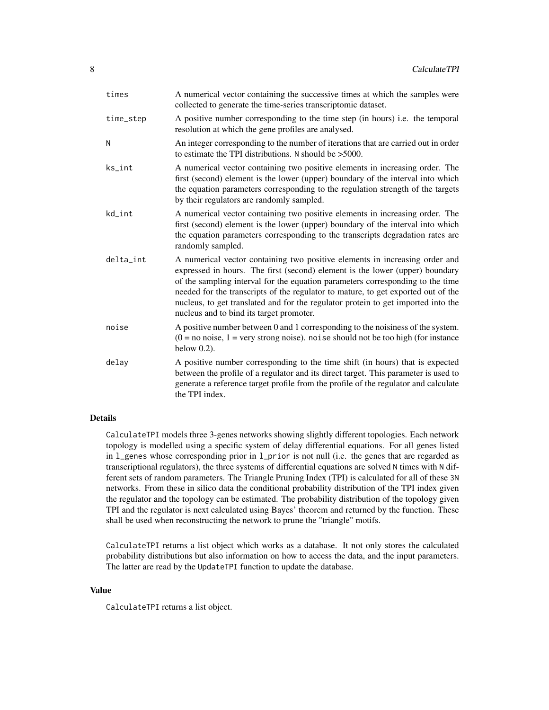| times     | A numerical vector containing the successive times at which the samples were<br>collected to generate the time-series transcriptomic dataset.                                                                                                                                                                                                                                                                                                                       |
|-----------|---------------------------------------------------------------------------------------------------------------------------------------------------------------------------------------------------------------------------------------------------------------------------------------------------------------------------------------------------------------------------------------------------------------------------------------------------------------------|
| time_step | A positive number corresponding to the time step (in hours) i.e. the temporal<br>resolution at which the gene profiles are analysed.                                                                                                                                                                                                                                                                                                                                |
| N         | An integer corresponding to the number of iterations that are carried out in order<br>to estimate the TPI distributions. N should be $>5000$ .                                                                                                                                                                                                                                                                                                                      |
| ks_int    | A numerical vector containing two positive elements in increasing order. The<br>first (second) element is the lower (upper) boundary of the interval into which<br>the equation parameters corresponding to the regulation strength of the targets<br>by their regulators are randomly sampled.                                                                                                                                                                     |
| kd_int    | A numerical vector containing two positive elements in increasing order. The<br>first (second) element is the lower (upper) boundary of the interval into which<br>the equation parameters corresponding to the transcripts degradation rates are<br>randomly sampled.                                                                                                                                                                                              |
| delta_int | A numerical vector containing two positive elements in increasing order and<br>expressed in hours. The first (second) element is the lower (upper) boundary<br>of the sampling interval for the equation parameters corresponding to the time<br>needed for the transcripts of the regulator to mature, to get exported out of the<br>nucleus, to get translated and for the regulator protein to get imported into the<br>nucleus and to bind its target promoter. |
| noise     | A positive number between 0 and 1 corresponding to the noisiness of the system.<br>$(0 = no noise, 1 = very strong noise)$ . noise should not be too high (for instance<br>below $0.2$ ).                                                                                                                                                                                                                                                                           |
| delay     | A positive number corresponding to the time shift (in hours) that is expected<br>between the profile of a regulator and its direct target. This parameter is used to<br>generate a reference target profile from the profile of the regulator and calculate<br>the TPI index.                                                                                                                                                                                       |
|           |                                                                                                                                                                                                                                                                                                                                                                                                                                                                     |

#### Details

CalculateTPI models three 3-genes networks showing slightly different topologies. Each network topology is modelled using a specific system of delay differential equations. For all genes listed in l\_genes whose corresponding prior in l\_prior is not null (i.e. the genes that are regarded as transcriptional regulators), the three systems of differential equations are solved N times with N different sets of random parameters. The Triangle Pruning Index (TPI) is calculated for all of these 3N networks. From these in silico data the conditional probability distribution of the TPI index given the regulator and the topology can be estimated. The probability distribution of the topology given TPI and the regulator is next calculated using Bayes' theorem and returned by the function. These shall be used when reconstructing the network to prune the "triangle" motifs.

CalculateTPI returns a list object which works as a database. It not only stores the calculated probability distributions but also information on how to access the data, and the input parameters. The latter are read by the UpdateTPI function to update the database.

#### Value

CalculateTPI returns a list object.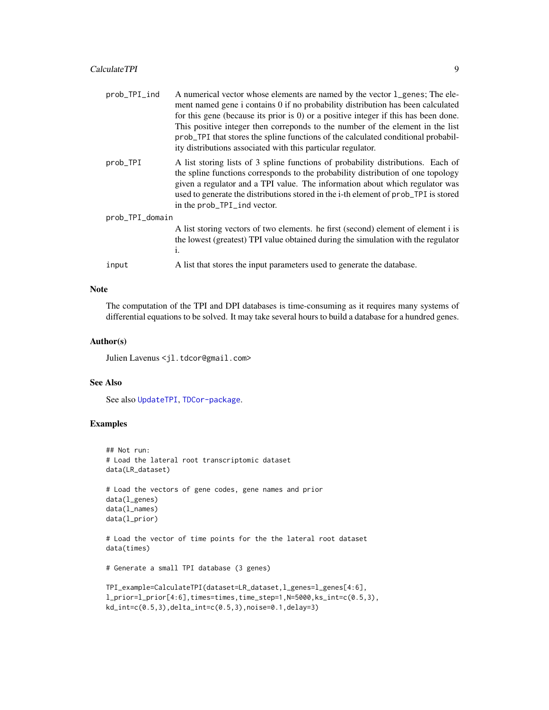<span id="page-8-0"></span>

| prob_TPI_ind    | A numerical vector whose elements are named by the vector 1_genes; The ele-<br>ment named gene i contains 0 if no probability distribution has been calculated<br>for this gene (because its prior is $0$ ) or a positive integer if this has been done.<br>This positive integer then correponds to the number of the element in the list<br>prob_TPI that stores the spline functions of the calculated conditional probabil-<br>ity distributions associated with this particular regulator. |
|-----------------|-------------------------------------------------------------------------------------------------------------------------------------------------------------------------------------------------------------------------------------------------------------------------------------------------------------------------------------------------------------------------------------------------------------------------------------------------------------------------------------------------|
| prob_TPI        | A list storing lists of 3 spline functions of probability distributions. Each of<br>the spline functions corresponds to the probability distribution of one topology<br>given a regulator and a TPI value. The information about which regulator was<br>used to generate the distributions stored in the i-th element of prob_TPI is stored<br>in the prob_TPI_ind vector.                                                                                                                      |
| prob_TPI_domain |                                                                                                                                                                                                                                                                                                                                                                                                                                                                                                 |
|                 | A list storing vectors of two elements. he first (second) element of element i is<br>the lowest (greatest) TPI value obtained during the simulation with the regulator<br>i.                                                                                                                                                                                                                                                                                                                    |
| input           | A list that stores the input parameters used to generate the database.                                                                                                                                                                                                                                                                                                                                                                                                                          |
|                 |                                                                                                                                                                                                                                                                                                                                                                                                                                                                                                 |

#### Note

The computation of the TPI and DPI databases is time-consuming as it requires many systems of differential equations to be solved. It may take several hours to build a database for a hundred genes.

# Author(s)

Julien Lavenus <jl.tdcor@gmail.com>

# See Also

See also [UpdateTPI](#page-26-1), [TDCor-package](#page-1-1).

# Examples

```
## Not run:
# Load the lateral root transcriptomic dataset
data(LR_dataset)
# Load the vectors of gene codes, gene names and prior
data(l_genes)
data(l_names)
data(l_prior)
# Load the vector of time points for the the lateral root dataset
data(times)
```

```
# Generate a small TPI database (3 genes)
```

```
TPI_example=CalculateTPI(dataset=LR_dataset,l_genes=l_genes[4:6],
l_prior=l_prior[4:6],times=times,time_step=1,N=5000,ks_int=c(0.5,3),
kd_int=c(0.5,3),delta_int=c(0.5,3),noise=0.1,delay=3)
```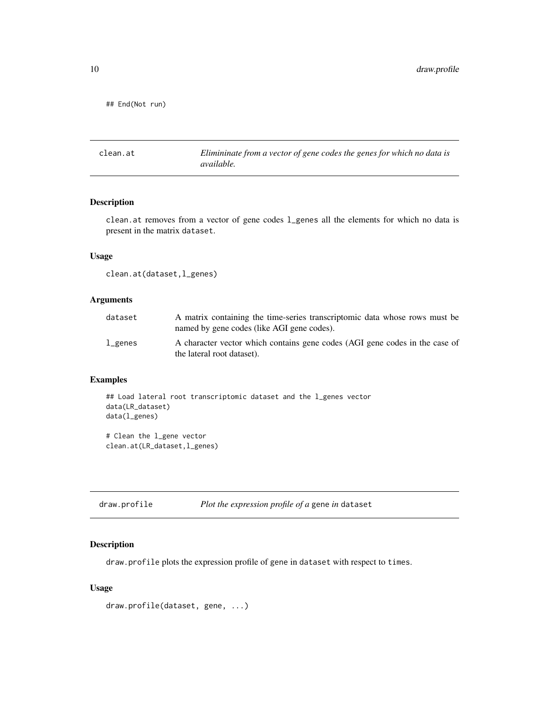<span id="page-9-0"></span>## End(Not run)

clean.at *Elimininate from a vector of gene codes the genes for which no data is available.*

# Description

clean.at removes from a vector of gene codes l\_genes all the elements for which no data is present in the matrix dataset.

# Usage

```
clean.at(dataset,l_genes)
```
# Arguments

| dataset   | A matrix containing the time-series transcriptomic data whose rows must be<br>named by gene codes (like AGI gene codes). |
|-----------|--------------------------------------------------------------------------------------------------------------------------|
| $l$ genes | A character vector which contains gene codes (AGI gene codes in the case of<br>the lateral root dataset).                |

# Examples

```
## Load lateral root transcriptomic dataset and the l_genes vector
data(LR_dataset)
data(l_genes)
```

```
# Clean the l_gene vector
clean.at(LR_dataset,l_genes)
```
<span id="page-9-1"></span>

| draw.profile | Plot the expression profile of a gene in dataset |  |  |
|--------------|--------------------------------------------------|--|--|
|--------------|--------------------------------------------------|--|--|

### Description

draw.profile plots the expression profile of gene in dataset with respect to times.

# Usage

```
draw.profile(dataset, gene, ...)
```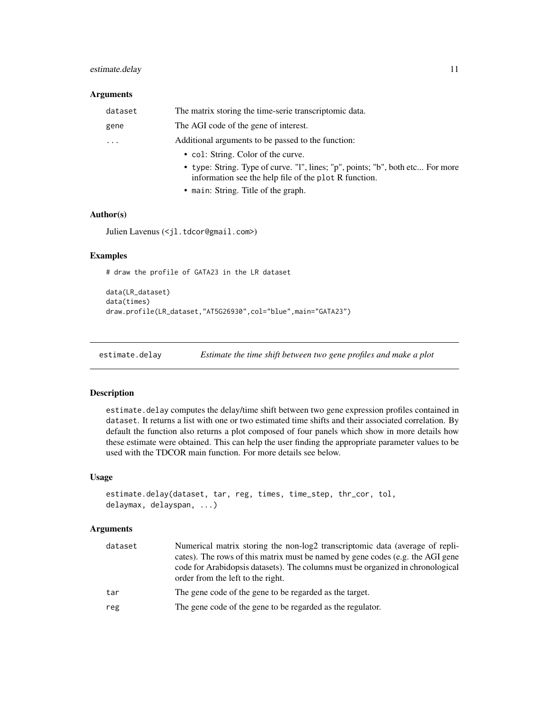# <span id="page-10-0"></span>estimate.delay 11

## Arguments

| dataset   | The matrix storing the time-serie transcriptomic data.                                                                                  |
|-----------|-----------------------------------------------------------------------------------------------------------------------------------------|
| gene      | The AGI code of the gene of interest.                                                                                                   |
| $\ddotsc$ | Additional arguments to be passed to the function:                                                                                      |
|           | • col: String. Color of the curve.                                                                                                      |
|           | • type: String. Type of curve. "I", lines; "p", points; "b", both etc For more<br>information see the help file of the plot R function. |
|           |                                                                                                                                         |

• main: String. Title of the graph.

#### Author(s)

Julien Lavenus (<jl.tdcor@gmail.com>)

# Examples

# draw the profile of GATA23 in the LR dataset

```
data(LR_dataset)
data(times)
draw.profile(LR_dataset,"AT5G26930",col="blue",main="GATA23")
```
<span id="page-10-1"></span>estimate.delay *Estimate the time shift between two gene profiles and make a plot*

#### Description

estimate.delay computes the delay/time shift between two gene expression profiles contained in dataset. It returns a list with one or two estimated time shifts and their associated correlation. By default the function also returns a plot composed of four panels which show in more details how these estimate were obtained. This can help the user finding the appropriate parameter values to be used with the TDCOR main function. For more details see below.

#### Usage

```
estimate.delay(dataset, tar, reg, times, time_step, thr_cor, tol,
delaymax, delayspan, ...)
```
# Arguments

| dataset | Numerical matrix storing the non-log2 transcriptomic data (average of repli-<br>cates). The rows of this matrix must be named by gene codes (e.g. the AGI gene<br>code for Arabidopsis datasets). The columns must be organized in chronological<br>order from the left to the right. |
|---------|---------------------------------------------------------------------------------------------------------------------------------------------------------------------------------------------------------------------------------------------------------------------------------------|
| tar     | The gene code of the gene to be regarded as the target.                                                                                                                                                                                                                               |
| reg     | The gene code of the gene to be regarded as the regulator.                                                                                                                                                                                                                            |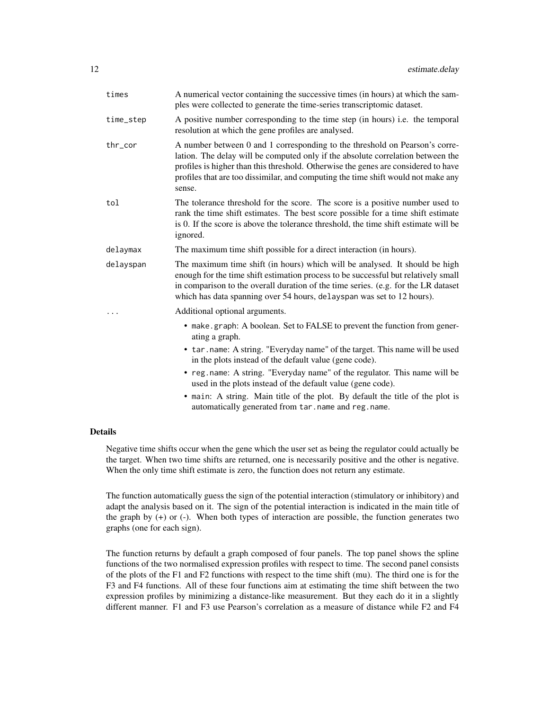| times     | A numerical vector containing the successive times (in hours) at which the sam-<br>ples were collected to generate the time-series transcriptomic dataset.                                                                                                                                                                                          |
|-----------|-----------------------------------------------------------------------------------------------------------------------------------------------------------------------------------------------------------------------------------------------------------------------------------------------------------------------------------------------------|
| time_step | A positive number corresponding to the time step (in hours) i.e. the temporal<br>resolution at which the gene profiles are analysed.                                                                                                                                                                                                                |
| thr_cor   | A number between 0 and 1 corresponding to the threshold on Pearson's corre-<br>lation. The delay will be computed only if the absolute correlation between the<br>profiles is higher than this threshold. Otherwise the genes are considered to have<br>profiles that are too dissimilar, and computing the time shift would not make any<br>sense. |
| tol       | The tolerance threshold for the score. The score is a positive number used to<br>rank the time shift estimates. The best score possible for a time shift estimate<br>is 0. If the score is above the tolerance threshold, the time shift estimate will be<br>ignored.                                                                               |
| delaymax  | The maximum time shift possible for a direct interaction (in hours).                                                                                                                                                                                                                                                                                |
| delayspan | The maximum time shift (in hours) which will be analysed. It should be high<br>enough for the time shift estimation process to be successful but relatively small<br>in comparison to the overall duration of the time series. (e.g. for the LR dataset<br>which has data spanning over 54 hours, delayspan was set to 12 hours).                   |
|           | Additional optional arguments.                                                                                                                                                                                                                                                                                                                      |
|           | • make.graph: A boolean. Set to FALSE to prevent the function from gener-<br>ating a graph.                                                                                                                                                                                                                                                         |
|           | • tar.name: A string. "Everyday name" of the target. This name will be used<br>in the plots instead of the default value (gene code).                                                                                                                                                                                                               |
|           | • reg.name: A string. "Everyday name" of the regulator. This name will be<br>used in the plots instead of the default value (gene code).                                                                                                                                                                                                            |
|           | • main: A string. Main title of the plot. By default the title of the plot is<br>automatically generated from tar.name and reg.name.                                                                                                                                                                                                                |

#### Details

Negative time shifts occur when the gene which the user set as being the regulator could actually be the target. When two time shifts are returned, one is necessarily positive and the other is negative. When the only time shift estimate is zero, the function does not return any estimate.

The function automatically guess the sign of the potential interaction (stimulatory or inhibitory) and adapt the analysis based on it. The sign of the potential interaction is indicated in the main title of the graph by (+) or (-). When both types of interaction are possible, the function generates two graphs (one for each sign).

The function returns by default a graph composed of four panels. The top panel shows the spline functions of the two normalised expression profiles with respect to time. The second panel consists of the plots of the F1 and F2 functions with respect to the time shift (mu). The third one is for the F3 and F4 functions. All of these four functions aim at estimating the time shift between the two expression profiles by minimizing a distance-like measurement. But they each do it in a slightly different manner. F1 and F3 use Pearson's correlation as a measure of distance while F2 and F4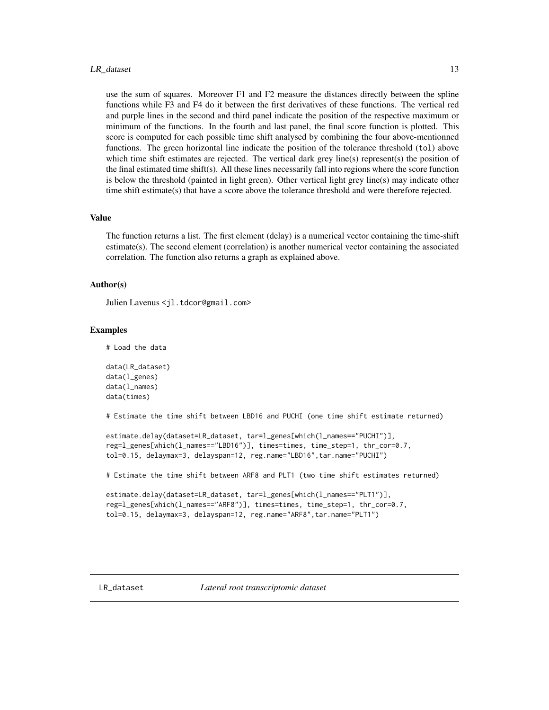#### <span id="page-12-0"></span>LR\_dataset 13

use the sum of squares. Moreover F1 and F2 measure the distances directly between the spline functions while F3 and F4 do it between the first derivatives of these functions. The vertical red and purple lines in the second and third panel indicate the position of the respective maximum or minimum of the functions. In the fourth and last panel, the final score function is plotted. This score is computed for each possible time shift analysed by combining the four above-mentionned functions. The green horizontal line indicate the position of the tolerance threshold (tol) above which time shift estimates are rejected. The vertical dark grey line(s) represent(s) the position of the final estimated time shift(s). All these lines necessarily fall into regions where the score function is below the threshold (painted in light green). Other vertical light grey line(s) may indicate other time shift estimate(s) that have a score above the tolerance threshold and were therefore rejected.

### Value

The function returns a list. The first element (delay) is a numerical vector containing the time-shift estimate(s). The second element (correlation) is another numerical vector containing the associated correlation. The function also returns a graph as explained above.

#### Author(s)

Julien Lavenus <il.tdcor@gmail.com>

#### Examples

# Load the data

```
data(LR_dataset)
data(l_genes)
data(l_names)
data(times)
```
# Estimate the time shift between LBD16 and PUCHI (one time shift estimate returned)

```
estimate.delay(dataset=LR_dataset, tar=l_genes[which(l_names=="PUCHI")],
reg=l_genes[which(l_names=="LBD16")], times=times, time_step=1, thr_cor=0.7,
tol=0.15, delaymax=3, delayspan=12, reg.name="LBD16",tar.name="PUCHI")
```
# Estimate the time shift between ARF8 and PLT1 (two time shift estimates returned)

```
estimate.delay(dataset=LR_dataset, tar=l_genes[which(l_names=="PLT1")],
reg=l_genes[which(l_names=="ARF8")], times=times, time_step=1, thr_cor=0.7,
tol=0.15, delaymax=3, delayspan=12, reg.name="ARF8",tar.name="PLT1")
```
<span id="page-12-1"></span>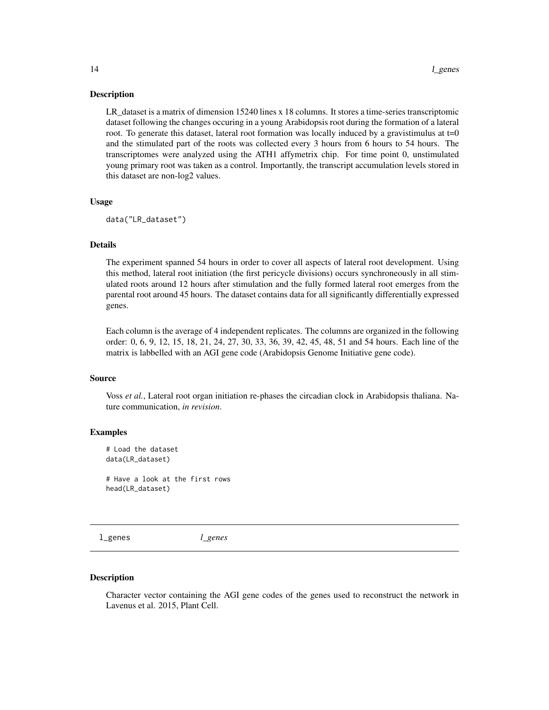#### <span id="page-13-0"></span>Description

LR\_dataset is a matrix of dimension 15240 lines x 18 columns. It stores a time-series transcriptomic dataset following the changes occuring in a young Arabidopsis root during the formation of a lateral root. To generate this dataset, lateral root formation was locally induced by a gravistimulus at  $t=0$ and the stimulated part of the roots was collected every 3 hours from 6 hours to 54 hours. The transcriptomes were analyzed using the ATH1 affymetrix chip. For time point 0, unstimulated young primary root was taken as a control. Importantly, the transcript accumulation levels stored in this dataset are non-log2 values.

#### Usage

```
data("LR_dataset")
```
#### Details

The experiment spanned 54 hours in order to cover all aspects of lateral root development. Using this method, lateral root initiation (the first pericycle divisions) occurs synchroneously in all stimulated roots around 12 hours after stimulation and the fully formed lateral root emerges from the parental root around 45 hours. The dataset contains data for all significantly differentially expressed genes.

Each column is the average of 4 independent replicates. The columns are organized in the following order: 0, 6, 9, 12, 15, 18, 21, 24, 27, 30, 33, 36, 39, 42, 45, 48, 51 and 54 hours. Each line of the matrix is labbelled with an AGI gene code (Arabidopsis Genome Initiative gene code).

#### Source

Voss *et al.*, Lateral root organ initiation re-phases the circadian clock in Arabidopsis thaliana. Nature communication, *in revision*.

#### Examples

# Load the dataset data(LR\_dataset) # Have a look at the first rows

head(LR\_dataset)

<span id="page-13-1"></span>l\_genes *l\_genes*

#### Description

Character vector containing the AGI gene codes of the genes used to reconstruct the network in Lavenus et al. 2015, Plant Cell.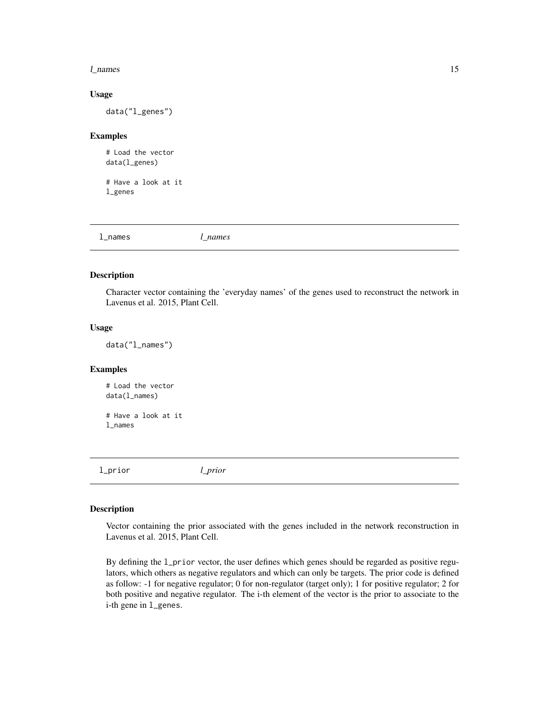#### <span id="page-14-0"></span>l\_names 15

#### Usage

data("l\_genes")

#### Examples

# Load the vector data(l\_genes)

# Have a look at it l\_genes

<span id="page-14-1"></span>

| l_names | names<br>_ |
|---------|------------|
|         |            |

#### Description

Character vector containing the 'everyday names' of the genes used to reconstruct the network in Lavenus et al. 2015, Plant Cell.

#### Usage

data("l\_names")

# Examples

# Load the vector data(l\_names)

# Have a look at it l\_names

<span id="page-14-2"></span>l\_prior *l\_prior*

#### Description

Vector containing the prior associated with the genes included in the network reconstruction in Lavenus et al. 2015, Plant Cell.

By defining the l\_prior vector, the user defines which genes should be regarded as positive regulators, which others as negative regulators and which can only be targets. The prior code is defined as follow: -1 for negative regulator; 0 for non-regulator (target only); 1 for positive regulator; 2 for both positive and negative regulator. The i-th element of the vector is the prior to associate to the i-th gene in l\_genes.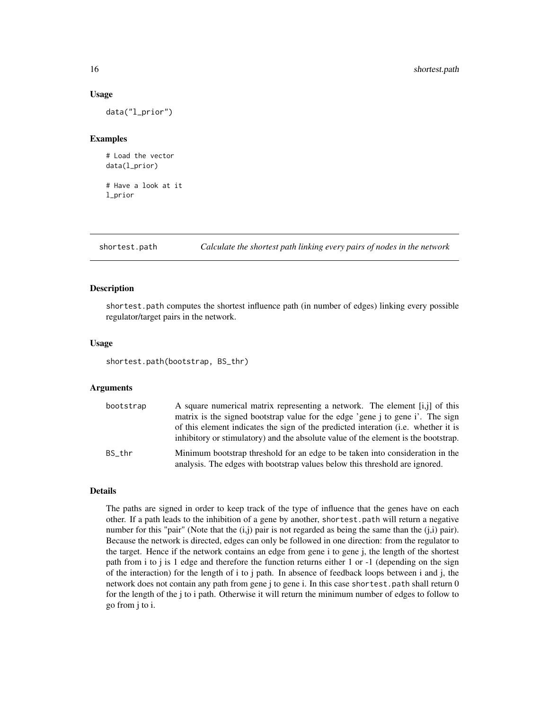#### Usage

data("l\_prior")

#### Examples

# Load the vector data(l\_prior)

# Have a look at it l\_prior

<span id="page-15-1"></span>shortest.path *Calculate the shortest path linking every pairs of nodes in the network*

#### Description

shortest.path computes the shortest influence path (in number of edges) linking every possible regulator/target pairs in the network.

#### Usage

shortest.path(bootstrap, BS\_thr)

#### Arguments

| bootstrap | A square numerical matrix representing a network. The element [i,j] of this                                                                                                                                                                                |
|-----------|------------------------------------------------------------------------------------------------------------------------------------------------------------------------------------------------------------------------------------------------------------|
|           | matrix is the signed bootstrap value for the edge 'gene j to gene i'. The sign<br>of this element indicates the sign of the predicted interation (i.e. whether it is<br>inhibitory or stimulatory) and the absolute value of the element is the bootstrap. |
| BS thr    | Minimum bootstrap threshold for an edge to be taken into consideration in the<br>analysis. The edges with bootstrap values below this threshold are ignored.                                                                                               |

# **Details**

The paths are signed in order to keep track of the type of influence that the genes have on each other. If a path leads to the inhibition of a gene by another, shortest.path will return a negative number for this "pair" (Note that the  $(i, j)$  pair is not regarded as being the same than the  $(j, i)$  pair). Because the network is directed, edges can only be followed in one direction: from the regulator to the target. Hence if the network contains an edge from gene i to gene j, the length of the shortest path from i to j is 1 edge and therefore the function returns either 1 or -1 (depending on the sign of the interaction) for the length of i to j path. In absence of feedback loops between i and j, the network does not contain any path from gene j to gene i. In this case shortest.path shall return 0 for the length of the j to i path. Otherwise it will return the minimum number of edges to follow to go from j to i.

<span id="page-15-0"></span>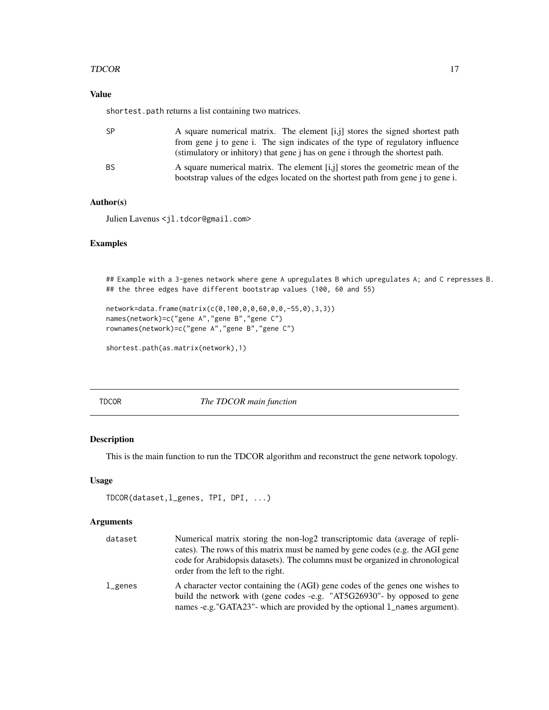# <span id="page-16-0"></span>TDCOR and the state of the state of the state of the state of the state of the state of the state of the state of the state of the state of the state of the state of the state of the state of the state of the state of the

# Value

shortest.path returns a list containing two matrices.

| SP | A square numerical matrix. The element [i,j] stores the signed shortest path                 |
|----|----------------------------------------------------------------------------------------------|
|    | from gene i to gene i. The sign indicates of the type of regulatory influence                |
|    | (stimulatory or inhitory) that gene <i>j</i> has on gene <i>i</i> through the shortest path. |
| ΒS | A square numerical matrix. The element $[i, j]$ stores the geometric mean of the             |
|    | bootstrap values of the edges located on the shortest path from gene j to gene i.            |

# Author(s)

Julien Lavenus <jl.tdcor@gmail.com>

# Examples

## Example with a 3-genes network where gene A upregulates B which upregulates A; and C represses B. ## the three edges have different bootstrap values (100, 60 and 55)

```
network=data.frame(matrix(c(0,100,0,0,60,0,0,-55,0),3,3))
names(network)=c("gene A","gene B","gene C")
rownames(network)=c("gene A","gene B","gene C")
```

```
shortest.path(as.matrix(network),1)
```
<span id="page-16-1"></span>TDCOR *The TDCOR main function*

# Description

This is the main function to run the TDCOR algorithm and reconstruct the gene network topology.

# Usage

```
TDCOR(dataset,l_genes, TPI, DPI, ...)
```
### Arguments

| dataset            | Numerical matrix storing the non-log2 transcriptomic data (average of repli-<br>cates). The rows of this matrix must be named by gene codes (e.g. the AGI gene                                                                          |
|--------------------|-----------------------------------------------------------------------------------------------------------------------------------------------------------------------------------------------------------------------------------------|
|                    | code for Arabidopsis datasets). The columns must be organized in chronological<br>order from the left to the right.                                                                                                                     |
| $_{\rm 1\mu enes}$ | A character vector containing the (AGI) gene codes of the genes one wishes to<br>build the network with (gene codes -e.g. "AT5G26930"- by opposed to gene<br>names -e.g."GATA23"- which are provided by the optional 1_names argument). |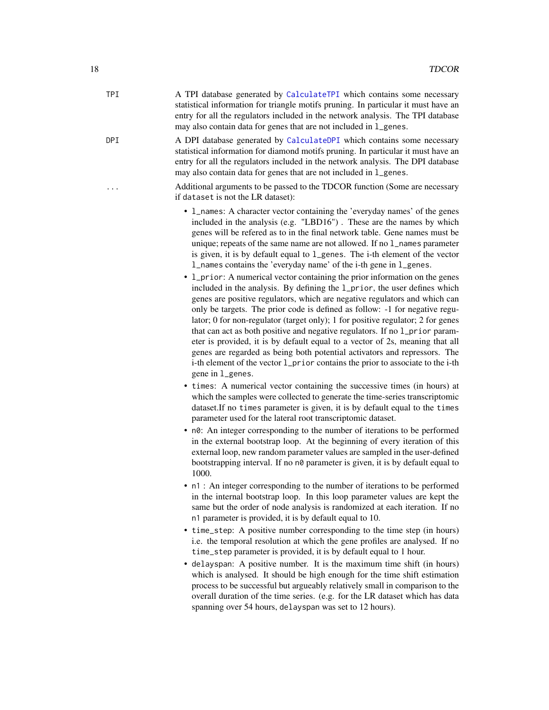<span id="page-17-0"></span>TPI A TPI database generated by [CalculateTPI](#page-6-1) which contains some necessary statistical information for triangle motifs pruning. In particular it must have an entry for all the regulators included in the network analysis. The TPI database may also contain data for genes that are not included in l\_genes.

DPI A DPI database generated by [CalculateDPI](#page-3-1) which contains some necessary statistical information for diamond motifs pruning. In particular it must have an entry for all the regulators included in the network analysis. The DPI database may also contain data for genes that are not included in l\_genes.

> ... Additional arguments to be passed to the TDCOR function (Some are necessary if dataset is not the LR dataset):

- l\_names: A character vector containing the 'everyday names' of the genes included in the analysis (e.g. "LBD16") . These are the names by which genes will be refered as to in the final network table. Gene names must be unique; repeats of the same name are not allowed. If no l\_names parameter is given, it is by default equal to l\_genes. The i-th element of the vector l\_names contains the 'everyday name' of the i-th gene in l\_genes.
- 1\_prior: A numerical vector containing the prior information on the genes included in the analysis. By defining the l\_prior, the user defines which genes are positive regulators, which are negative regulators and which can only be targets. The prior code is defined as follow: -1 for negative regulator; 0 for non-regulator (target only); 1 for positive regulator; 2 for genes that can act as both positive and negative regulators. If no 1\_prior parameter is provided, it is by default equal to a vector of 2s, meaning that all genes are regarded as being both potential activators and repressors. The i-th element of the vector l\_prior contains the prior to associate to the i-th gene in l\_genes.
- times: A numerical vector containing the successive times (in hours) at which the samples were collected to generate the time-series transcriptomic dataset.If no times parameter is given, it is by default equal to the times parameter used for the lateral root transcriptomic dataset.
- n0: An integer corresponding to the number of iterations to be performed in the external bootstrap loop. At the beginning of every iteration of this external loop, new random parameter values are sampled in the user-defined bootstrapping interval. If no n0 parameter is given, it is by default equal to 1000.
- n1 : An integer corresponding to the number of iterations to be performed in the internal bootstrap loop. In this loop parameter values are kept the same but the order of node analysis is randomized at each iteration. If no n1 parameter is provided, it is by default equal to 10.
- time\_step: A positive number corresponding to the time step (in hours) i.e. the temporal resolution at which the gene profiles are analysed. If no time\_step parameter is provided, it is by default equal to 1 hour.
- delayspan: A positive number. It is the maximum time shift (in hours) which is analysed. It should be high enough for the time shift estimation process to be successful but argueably relatively small in comparison to the overall duration of the time series. (e.g. for the LR dataset which has data spanning over 54 hours, delayspan was set to 12 hours).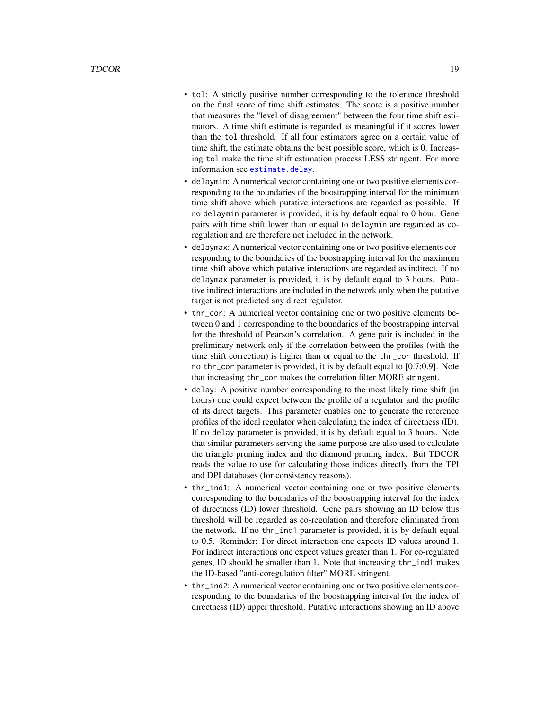- <span id="page-18-0"></span>• tol: A strictly positive number corresponding to the tolerance threshold on the final score of time shift estimates. The score is a positive number that measures the "level of disagreement" between the four time shift estimators. A time shift estimate is regarded as meaningful if it scores lower than the tol threshold. If all four estimators agree on a certain value of time shift, the estimate obtains the best possible score, which is 0. Increasing tol make the time shift estimation process LESS stringent. For more information see [estimate.delay](#page-10-1).
- delaymin: A numerical vector containing one or two positive elements corresponding to the boundaries of the boostrapping interval for the minimum time shift above which putative interactions are regarded as possible. If no delaymin parameter is provided, it is by default equal to 0 hour. Gene pairs with time shift lower than or equal to delaymin are regarded as coregulation and are therefore not included in the network.
- delaymax: A numerical vector containing one or two positive elements corresponding to the boundaries of the boostrapping interval for the maximum time shift above which putative interactions are regarded as indirect. If no delaymax parameter is provided, it is by default equal to 3 hours. Putative indirect interactions are included in the network only when the putative target is not predicted any direct regulator.
- thr\_cor: A numerical vector containing one or two positive elements between 0 and 1 corresponding to the boundaries of the boostrapping interval for the threshold of Pearson's correlation. A gene pair is included in the preliminary network only if the correlation between the profiles (with the time shift correction) is higher than or equal to the thr\_cor threshold. If no thr\_cor parameter is provided, it is by default equal to [0.7;0.9]. Note that increasing thr\_cor makes the correlation filter MORE stringent.
- delay: A positive number corresponding to the most likely time shift (in hours) one could expect between the profile of a regulator and the profile of its direct targets. This parameter enables one to generate the reference profiles of the ideal regulator when calculating the index of directness (ID). If no delay parameter is provided, it is by default equal to 3 hours. Note that similar parameters serving the same purpose are also used to calculate the triangle pruning index and the diamond pruning index. But TDCOR reads the value to use for calculating those indices directly from the TPI and DPI databases (for consistency reasons).
- thr\_ind1: A numerical vector containing one or two positive elements corresponding to the boundaries of the boostrapping interval for the index of directness (ID) lower threshold. Gene pairs showing an ID below this threshold will be regarded as co-regulation and therefore eliminated from the network. If no thr\_ind1 parameter is provided, it is by default equal to 0.5. Reminder: For direct interaction one expects ID values around 1. For indirect interactions one expect values greater than 1. For co-regulated genes, ID should be smaller than 1. Note that increasing thr\_ind1 makes the ID-based "anti-coregulation filter" MORE stringent.
- thr\_ind2: A numerical vector containing one or two positive elements corresponding to the boundaries of the boostrapping interval for the index of directness (ID) upper threshold. Putative interactions showing an ID above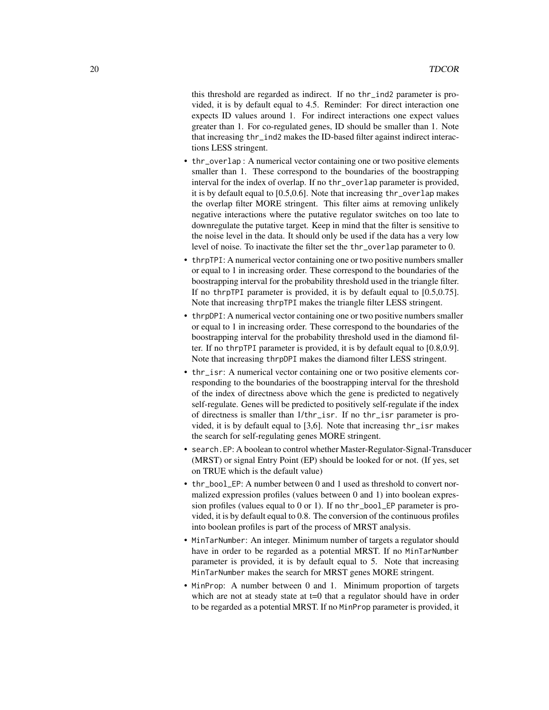this threshold are regarded as indirect. If no thr\_ind2 parameter is provided, it is by default equal to 4.5. Reminder: For direct interaction one expects ID values around 1. For indirect interactions one expect values greater than 1. For co-regulated genes, ID should be smaller than 1. Note that increasing thr\_ind2 makes the ID-based filter against indirect interactions LESS stringent.

- thr\_overlap : A numerical vector containing one or two positive elements smaller than 1. These correspond to the boundaries of the boostrapping interval for the index of overlap. If no thr\_overlap parameter is provided, it is by default equal to [0.5,0.6]. Note that increasing thr\_overlap makes the overlap filter MORE stringent. This filter aims at removing unlikely negative interactions where the putative regulator switches on too late to downregulate the putative target. Keep in mind that the filter is sensitive to the noise level in the data. It should only be used if the data has a very low level of noise. To inactivate the filter set the thr\_overlap parameter to 0.
- thrpTPI: A numerical vector containing one or two positive numbers smaller or equal to 1 in increasing order. These correspond to the boundaries of the boostrapping interval for the probability threshold used in the triangle filter. If no thrpTPI parameter is provided, it is by default equal to [0.5,0.75]. Note that increasing thrpTPI makes the triangle filter LESS stringent.
- thrpDPI: A numerical vector containing one or two positive numbers smaller or equal to 1 in increasing order. These correspond to the boundaries of the boostrapping interval for the probability threshold used in the diamond filter. If no thrpTPI parameter is provided, it is by default equal to [0.8,0.9]. Note that increasing thrpDPI makes the diamond filter LESS stringent.
- thr\_isr: A numerical vector containing one or two positive elements corresponding to the boundaries of the boostrapping interval for the threshold of the index of directness above which the gene is predicted to negatively self-regulate. Genes will be predicted to positively self-regulate if the index of directness is smaller than 1/thr\_isr. If no thr\_isr parameter is provided, it is by default equal to [3,6]. Note that increasing thr\_isr makes the search for self-regulating genes MORE stringent.
- search.EP: A boolean to control whether Master-Regulator-Signal-Transducer (MRST) or signal Entry Point (EP) should be looked for or not. (If yes, set on TRUE which is the default value)
- thr\_bool\_EP: A number between 0 and 1 used as threshold to convert normalized expression profiles (values between 0 and 1) into boolean expression profiles (values equal to 0 or 1). If no thr\_bool\_EP parameter is provided, it is by default equal to 0.8. The conversion of the continuous profiles into boolean profiles is part of the process of MRST analysis.
- MinTarNumber: An integer. Minimum number of targets a regulator should have in order to be regarded as a potential MRST. If no MinTarNumber parameter is provided, it is by default equal to 5. Note that increasing MinTarNumber makes the search for MRST genes MORE stringent.
- MinProp: A number between 0 and 1. Minimum proportion of targets which are not at steady state at  $t=0$  that a regulator should have in order to be regarded as a potential MRST. If no MinProp parameter is provided, it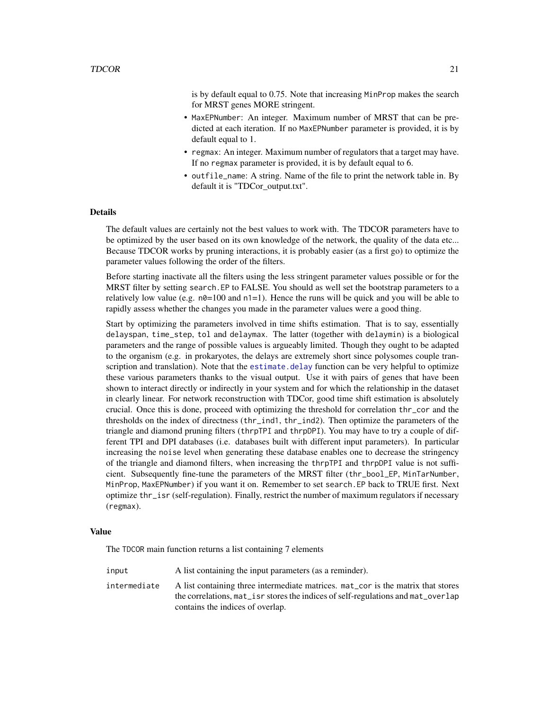<span id="page-20-0"></span>is by default equal to 0.75. Note that increasing MinProp makes the search for MRST genes MORE stringent.

- MaxEPNumber: An integer. Maximum number of MRST that can be predicted at each iteration. If no MaxEPNumber parameter is provided, it is by default equal to 1.
- regmax: An integer. Maximum number of regulators that a target may have. If no regmax parameter is provided, it is by default equal to 6.
- outfile\_name: A string. Name of the file to print the network table in. By default it is "TDCor\_output.txt".

### Details

The default values are certainly not the best values to work with. The TDCOR parameters have to be optimized by the user based on its own knowledge of the network, the quality of the data etc... Because TDCOR works by pruning interactions, it is probably easier (as a first go) to optimize the parameter values following the order of the filters.

Before starting inactivate all the filters using the less stringent parameter values possible or for the MRST filter by setting search.EP to FALSE. You should as well set the bootstrap parameters to a relatively low value (e.g.  $n\theta = 100$  and  $n\theta = 1$ ). Hence the runs will be quick and you will be able to rapidly assess whether the changes you made in the parameter values were a good thing.

Start by optimizing the parameters involved in time shifts estimation. That is to say, essentially delayspan, time\_step, tol and delaymax. The latter (together with delaymin) is a biological parameters and the range of possible values is argueably limited. Though they ought to be adapted to the organism (e.g. in prokaryotes, the delays are extremely short since polysomes couple transcription and translation). Note that the estimate delay function can be very helpful to optimize these various parameters thanks to the visual output. Use it with pairs of genes that have been shown to interact directly or indirectly in your system and for which the relationship in the dataset in clearly linear. For network reconstruction with TDCor, good time shift estimation is absolutely crucial. Once this is done, proceed with optimizing the threshold for correlation thr\_cor and the thresholds on the index of directness (thr\_ind1, thr\_ind2). Then optimize the parameters of the triangle and diamond pruning filters (thrpTPI and thrpDPI). You may have to try a couple of different TPI and DPI databases (i.e. databases built with different input parameters). In particular increasing the noise level when generating these database enables one to decrease the stringency of the triangle and diamond filters, when increasing the thrpTPI and thrpDPI value is not sufficient. Subsequently fine-tune the parameters of the MRST filter (thr\_bool\_EP, MinTarNumber, MinProp, MaxEPNumber) if you want it on. Remember to set search.EP back to TRUE first. Next optimize thr\_isr (self-regulation). Finally, restrict the number of maximum regulators if necessary (regmax).

# Value

The TDCOR main function returns a list containing 7 elements

input A list containing the input parameters (as a reminder). intermediate A list containing three intermediate matrices. mat\_cor is the matrix that stores the correlations, mat\_isr stores the indices of self-regulations and mat\_overlap contains the indices of overlap.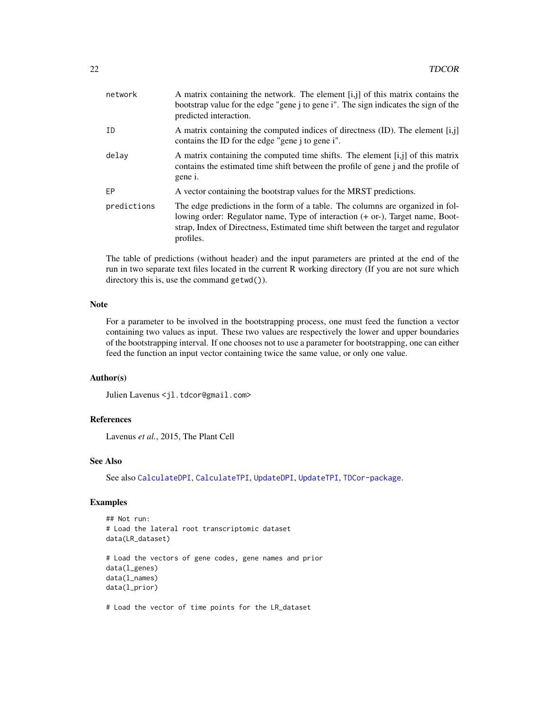<span id="page-21-0"></span>

| network     | A matrix containing the network. The element $[i, j]$ of this matrix contains the<br>bootstrap value for the edge "gene j to gene i". The sign indicates the sign of the<br>predicted interaction.                                                                |
|-------------|-------------------------------------------------------------------------------------------------------------------------------------------------------------------------------------------------------------------------------------------------------------------|
| ID          | A matrix containing the computed indices of directness $(ID)$ . The element $[i, j]$<br>contains the ID for the edge "gene j to gene i".                                                                                                                          |
| delay       | A matrix containing the computed time shifts. The element $[i, j]$ of this matrix<br>contains the estimated time shift between the profile of gene j and the profile of<br>gene i.                                                                                |
| EP          | A vector containing the bootstrap values for the MRST predictions.                                                                                                                                                                                                |
| predictions | The edge predictions in the form of a table. The columns are organized in fol-<br>lowing order: Regulator name, Type of interaction (+ or-), Target name, Boot-<br>strap, Index of Directness, Estimated time shift between the target and regulator<br>profiles. |

The table of predictions (without header) and the input parameters are printed at the end of the run in two separate text files located in the current R working directory (If you are not sure which directory this is, use the command getwd()).

#### Note

For a parameter to be involved in the bootstrapping process, one must feed the function a vector containing two values as input. These two values are respectively the lower and upper boundaries of the bootstrapping interval. If one chooses not to use a parameter for bootstrapping, one can either feed the function an input vector containing twice the same value, or only one value.

### Author(s)

Julien Lavenus <jl.tdcor@gmail.com>

# References

Lavenus *et al.*, 2015, The Plant Cell

# See Also

See also [CalculateDPI](#page-3-1), [CalculateTPI](#page-6-1), [UpdateDPI](#page-24-2), [UpdateTPI](#page-26-1), [TDCor-package](#page-1-1).

# Examples

```
## Not run:
# Load the lateral root transcriptomic dataset
data(LR_dataset)
# Load the vectors of gene codes, gene names and prior
data(l_genes)
data(l_names)
data(l_prior)
```
# Load the vector of time points for the LR\_dataset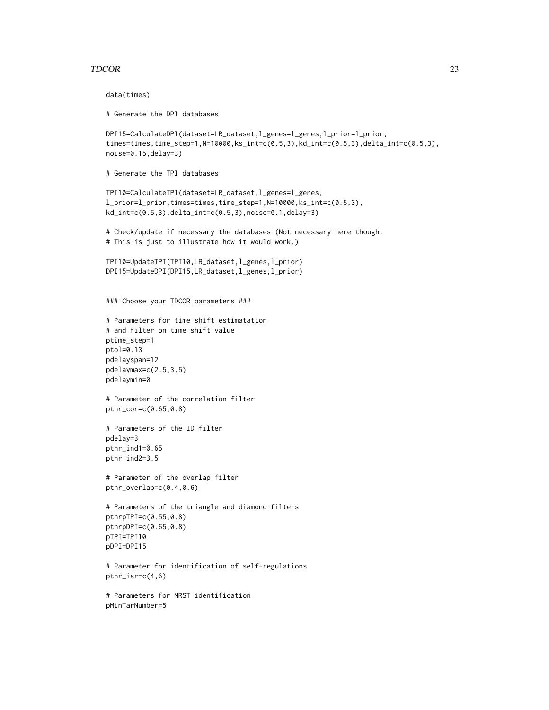#### TDCOR 23

data(times)

```
# Generate the DPI databases
DPI15=CalculateDPI(dataset=LR_dataset,l_genes=l_genes,l_prior=l_prior,
times=times,time_step=1,N=10000,ks_int=c(0.5,3),kd_int=c(0.5,3),delta_int=c(0.5,3),
noise=0.15,delay=3)
# Generate the TPI databases
TPI10=CalculateTPI(dataset=LR_dataset,l_genes=l_genes,
l_prior=l_prior,times=times,time_step=1,N=10000,ks_int=c(0.5,3),
kd_int=c(0.5,3),delta_int=c(0.5,3),noise=0.1,delay=3)
# Check/update if necessary the databases (Not necessary here though.
# This is just to illustrate how it would work.)
TPI10=UpdateTPI(TPI10,LR_dataset,l_genes,l_prior)
DPI15=UpdateDPI(DPI15,LR_dataset,l_genes,l_prior)
### Choose your TDCOR parameters ###
# Parameters for time shift estimatation
# and filter on time shift value
ptime_step=1
ptol=0.13
pdelayspan=12
pdelaymax=c(2.5,3.5)
pdelaymin=0
# Parameter of the correlation filter
pthr_cor=c(0.65,0.8)
# Parameters of the ID filter
pdelay=3
pthr_ind1=0.65
pthr_ind2=3.5
# Parameter of the overlap filter
pthr_overlap=c(0.4,0.6)
# Parameters of the triangle and diamond filters
pthrpTPI=c(0.55,0.8)
pthrpDPI=c(0.65,0.8)
pTPI=TPI10
pDPI=DPI15
# Parameter for identification of self-regulations
pthr_isr=c(4,6)
# Parameters for MRST identification
pMinTarNumber=5
```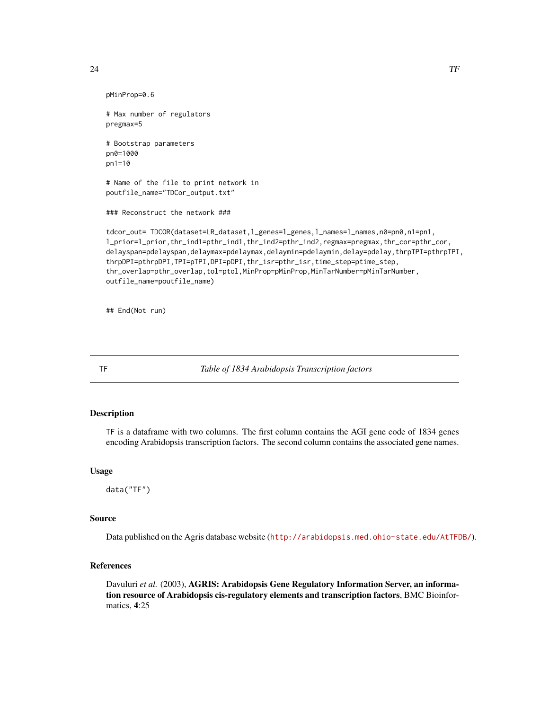```
24 TF
```

```
pMinProp=0.6
# Max number of regulators
pregmax=5
# Bootstrap parameters
pn0=1000
pn1=10
# Name of the file to print network in
poutfile_name="TDCor_output.txt"
### Reconstruct the network ###
tdcor_out= TDCOR(dataset=LR_dataset,l_genes=l_genes,l_names=l_names,n0=pn0,n1=pn1,
l_prior=l_prior,thr_ind1=pthr_ind1,thr_ind2=pthr_ind2,regmax=pregmax,thr_cor=pthr_cor,
delayspan=pdelayspan,delaymax=pdelaymax,delaymin=pdelaymin,delay=pdelay,thrpTPI=pthrpTPI,
thrpDPI=pthrpDPI,TPI=pTPI,DPI=pDPI,thr_isr=pthr_isr,time_step=ptime_step,
thr_overlap=pthr_overlap,tol=ptol,MinProp=pMinProp,MinTarNumber=pMinTarNumber,
outfile_name=poutfile_name)
```
## End(Not run)

<span id="page-23-1"></span>

TF *Table of 1834 Arabidopsis Transcription factors*

# Description

TF is a dataframe with two columns. The first column contains the AGI gene code of 1834 genes encoding Arabidopsis transcription factors. The second column contains the associated gene names.

# Usage

data("TF")

# Source

Data published on the Agris database website (<http://arabidopsis.med.ohio-state.edu/AtTFDB/>).

#### References

Davuluri *et al.* (2003), **AGRIS: Arabidopsis Gene Regulatory Information Server, an informa**tion resource of Arabidopsis cis-regulatory elements and transcription factors, BMC Bioinformatics, 4:25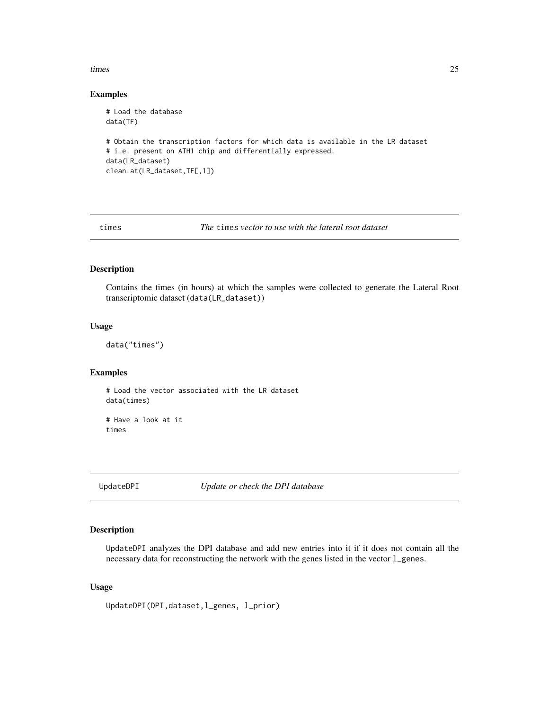#### <span id="page-24-0"></span>times 25

# Examples

```
# Load the database
data(TF)
# Obtain the transcription factors for which data is available in the LR dataset
# i.e. present on ATH1 chip and differentially expressed.
data(LR_dataset)
clean.at(LR_dataset,TF[,1])
```
<span id="page-24-1"></span>times *The* times *vector to use with the lateral root dataset*

#### Description

Contains the times (in hours) at which the samples were collected to generate the Lateral Root transcriptomic dataset (data(LR\_dataset))

#### Usage

```
data("times")
```
#### Examples

# Load the vector associated with the LR dataset data(times)

# Have a look at it times

<span id="page-24-2"></span>UpdateDPI *Update or check the DPI database*

#### Description

UpdateDPI analyzes the DPI database and add new entries into it if it does not contain all the necessary data for reconstructing the network with the genes listed in the vector l\_genes.

# Usage

```
UpdateDPI(DPI,dataset,l_genes, l_prior)
```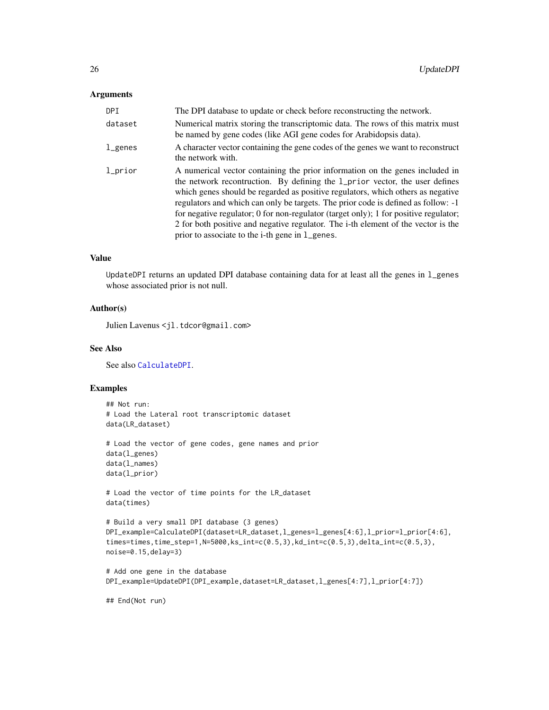#### <span id="page-25-0"></span>Arguments

| DPI     | The DPI database to update or check before reconstructing the network.                                                                                                                                                                                                                                                                                                                                                                                                                                                                                                      |
|---------|-----------------------------------------------------------------------------------------------------------------------------------------------------------------------------------------------------------------------------------------------------------------------------------------------------------------------------------------------------------------------------------------------------------------------------------------------------------------------------------------------------------------------------------------------------------------------------|
| dataset | Numerical matrix storing the transcriptomic data. The rows of this matrix must<br>be named by gene codes (like AGI gene codes for Arabidopsis data).                                                                                                                                                                                                                                                                                                                                                                                                                        |
| l_genes | A character vector containing the gene codes of the genes we want to reconstruct<br>the network with.                                                                                                                                                                                                                                                                                                                                                                                                                                                                       |
| l_prior | A numerical vector containing the prior information on the genes included in<br>the network recontruction. By defining the 1_prior vector, the user defines<br>which genes should be regarded as positive regulators, which others as negative<br>regulators and which can only be targets. The prior code is defined as follow: -1<br>for negative regulator; 0 for non-regulator (target only); 1 for positive regulator;<br>2 for both positive and negative regulator. The i-th element of the vector is the<br>prior to associate to the <i>i</i> -th gene in 1_genes. |

#### Value

UpdateDPI returns an updated DPI database containing data for at least all the genes in l\_genes whose associated prior is not null.

# Author(s)

Julien Lavenus <jl.tdcor@gmail.com>

#### See Also

See also [CalculateDPI](#page-3-1).

#### Examples

```
## Not run:
# Load the Lateral root transcriptomic dataset
data(LR_dataset)
```

```
# Load the vector of gene codes, gene names and prior
data(l_genes)
data(l_names)
data(l_prior)
```
# Load the vector of time points for the LR\_dataset data(times)

```
# Build a very small DPI database (3 genes)
DPI_example=CalculateDPI(dataset=LR_dataset,l_genes=l_genes[4:6],l_prior=l_prior[4:6],
times=times,time_step=1,N=5000,ks_int=c(0.5,3),kd_int=c(0.5,3),delta_int=c(0.5,3),
noise=0.15,delay=3)
```

```
# Add one gene in the database
DPI_example=UpdateDPI(DPI_example,dataset=LR_dataset,l_genes[4:7],l_prior[4:7])
```
## End(Not run)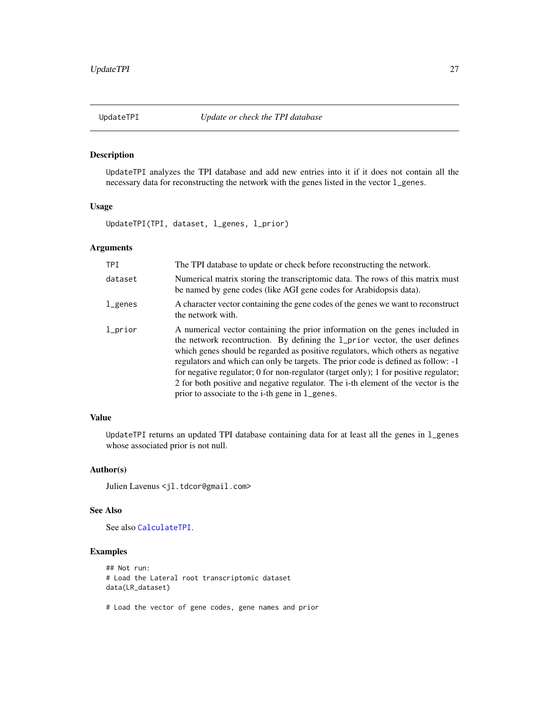<span id="page-26-1"></span><span id="page-26-0"></span>

# Description

UpdateTPI analyzes the TPI database and add new entries into it if it does not contain all the necessary data for reconstructing the network with the genes listed in the vector l\_genes.

# Usage

UpdateTPI(TPI, dataset, l\_genes, l\_prior)

# Arguments

| <b>TPT</b> | The TPI database to update or check before reconstructing the network.                                                                                                                                                                                                                                                                                                                                                                                                                                                                                                      |
|------------|-----------------------------------------------------------------------------------------------------------------------------------------------------------------------------------------------------------------------------------------------------------------------------------------------------------------------------------------------------------------------------------------------------------------------------------------------------------------------------------------------------------------------------------------------------------------------------|
| dataset    | Numerical matrix storing the transcriptomic data. The rows of this matrix must<br>be named by gene codes (like AGI gene codes for Arabidopsis data).                                                                                                                                                                                                                                                                                                                                                                                                                        |
| l_genes    | A character vector containing the gene codes of the genes we want to reconstruct<br>the network with.                                                                                                                                                                                                                                                                                                                                                                                                                                                                       |
| 1_prior    | A numerical vector containing the prior information on the genes included in<br>the network recontruction. By defining the 1_prior vector, the user defines<br>which genes should be regarded as positive regulators, which others as negative<br>regulators and which can only be targets. The prior code is defined as follow: -1<br>for negative regulator; 0 for non-regulator (target only); 1 for positive regulator;<br>2 for both positive and negative regulator. The i-th element of the vector is the<br>prior to associate to the <i>i</i> -th gene in 1_genes. |

# Value

UpdateTPI returns an updated TPI database containing data for at least all the genes in l\_genes whose associated prior is not null.

# Author(s)

Julien Lavenus <jl.tdcor@gmail.com>

### See Also

See also [CalculateTPI](#page-6-1).

# Examples

```
## Not run:
# Load the Lateral root transcriptomic dataset
data(LR_dataset)
```
# Load the vector of gene codes, gene names and prior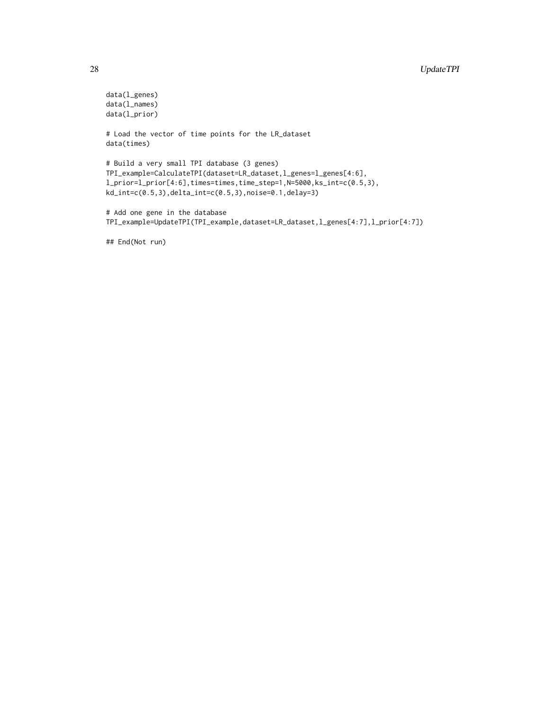```
data(l_genes)
data(l_names)
data(l_prior)
# Load the vector of time points for the LR_dataset
data(times)
# Build a very small TPI database (3 genes)
TPI_example=CalculateTPI(dataset=LR_dataset,l_genes=l_genes[4:6],
l_prior=l_prior[4:6],times=times,time_step=1,N=5000,ks_int=c(0.5,3),
kd_int=c(0.5,3),delta_int=c(0.5,3),noise=0.1,delay=3)
# Add one gene in the database
TPI_example=UpdateTPI(TPI_example,dataset=LR_dataset,l_genes[4:7],l_prior[4:7])
```
## End(Not run)